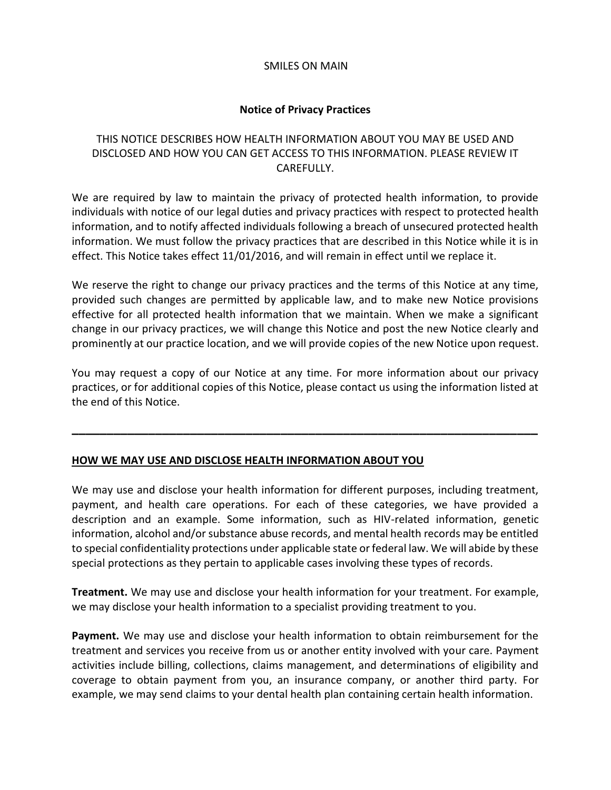#### SMILES ON MAIN

### **Notice of Privacy Practices**

## THIS NOTICE DESCRIBES HOW HEALTH INFORMATION ABOUT YOU MAY BE USED AND DISCLOSED AND HOW YOU CAN GET ACCESS TO THIS INFORMATION. PLEASE REVIEW IT CAREFULLY.

We are required by law to maintain the privacy of protected health information, to provide individuals with notice of our legal duties and privacy practices with respect to protected health information, and to notify affected individuals following a breach of unsecured protected health information. We must follow the privacy practices that are described in this Notice while it is in effect. This Notice takes effect 11/01/2016, and will remain in effect until we replace it.

We reserve the right to change our privacy practices and the terms of this Notice at any time, provided such changes are permitted by applicable law, and to make new Notice provisions effective for all protected health information that we maintain. When we make a significant change in our privacy practices, we will change this Notice and post the new Notice clearly and prominently at our practice location, and we will provide copies of the new Notice upon request.

You may request a copy of our Notice at any time. For more information about our privacy practices, or for additional copies of this Notice, please contact us using the information listed at the end of this Notice.

**\_\_\_\_\_\_\_\_\_\_\_\_\_\_\_\_\_\_\_\_\_\_\_\_\_\_\_\_\_\_\_\_\_\_\_\_\_\_\_\_\_\_\_\_\_\_\_\_\_\_\_\_\_\_\_\_\_\_\_\_\_\_\_\_\_\_\_**

#### **HOW WE MAY USE AND DISCLOSE HEALTH INFORMATION ABOUT YOU**

We may use and disclose your health information for different purposes, including treatment, payment, and health care operations. For each of these categories, we have provided a description and an example. Some information, such as HIV-related information, genetic information, alcohol and/or substance abuse records, and mental health records may be entitled to special confidentiality protections under applicable state or federal law. We will abide by these special protections as they pertain to applicable cases involving these types of records.

**Treatment.** We may use and disclose your health information for your treatment. For example, we may disclose your health information to a specialist providing treatment to you.

**Payment.** We may use and disclose your health information to obtain reimbursement for the treatment and services you receive from us or another entity involved with your care. Payment activities include billing, collections, claims management, and determinations of eligibility and coverage to obtain payment from you, an insurance company, or another third party. For example, we may send claims to your dental health plan containing certain health information.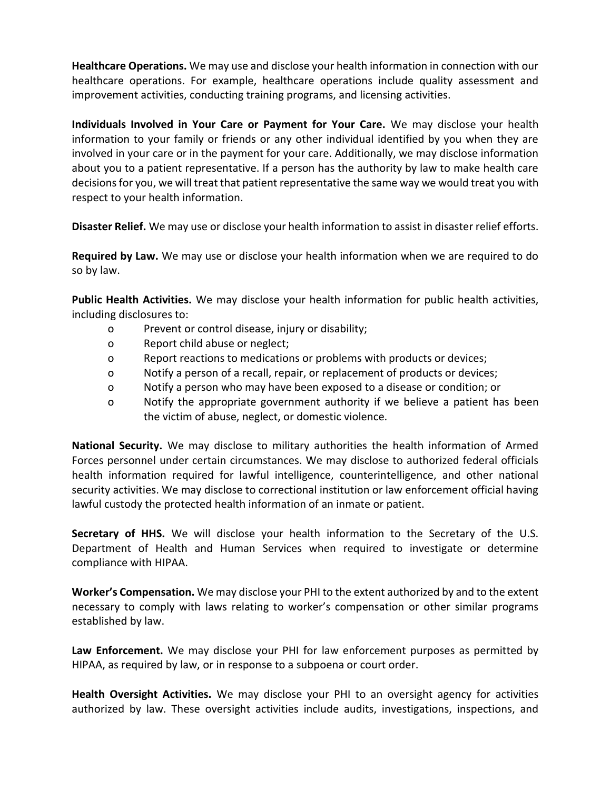**Healthcare Operations.** We may use and disclose your health information in connection with our healthcare operations. For example, healthcare operations include quality assessment and improvement activities, conducting training programs, and licensing activities.

**Individuals Involved in Your Care or Payment for Your Care.** We may disclose your health information to your family or friends or any other individual identified by you when they are involved in your care or in the payment for your care. Additionally, we may disclose information about you to a patient representative. If a person has the authority by law to make health care decisions for you, we will treat that patient representative the same way we would treat you with respect to your health information.

**Disaster Relief.** We may use or disclose your health information to assist in disaster relief efforts.

**Required by Law.** We may use or disclose your health information when we are required to do so by law.

**Public Health Activities.** We may disclose your health information for public health activities, including disclosures to:

- o Prevent or control disease, injury or disability;
- o Report child abuse or neglect;
- o Report reactions to medications or problems with products or devices;
- o Notify a person of a recall, repair, or replacement of products or devices;
- o Notify a person who may have been exposed to a disease or condition; or
- o Notify the appropriate government authority if we believe a patient has been the victim of abuse, neglect, or domestic violence.

**National Security.** We may disclose to military authorities the health information of Armed Forces personnel under certain circumstances. We may disclose to authorized federal officials health information required for lawful intelligence, counterintelligence, and other national security activities. We may disclose to correctional institution or law enforcement official having lawful custody the protected health information of an inmate or patient.

**Secretary of HHS.** We will disclose your health information to the Secretary of the U.S. Department of Health and Human Services when required to investigate or determine compliance with HIPAA.

**Worker's Compensation.** We may disclose your PHI to the extent authorized by and to the extent necessary to comply with laws relating to worker's compensation or other similar programs established by law.

**Law Enforcement.** We may disclose your PHI for law enforcement purposes as permitted by HIPAA, as required by law, or in response to a subpoena or court order.

**Health Oversight Activities.** We may disclose your PHI to an oversight agency for activities authorized by law. These oversight activities include audits, investigations, inspections, and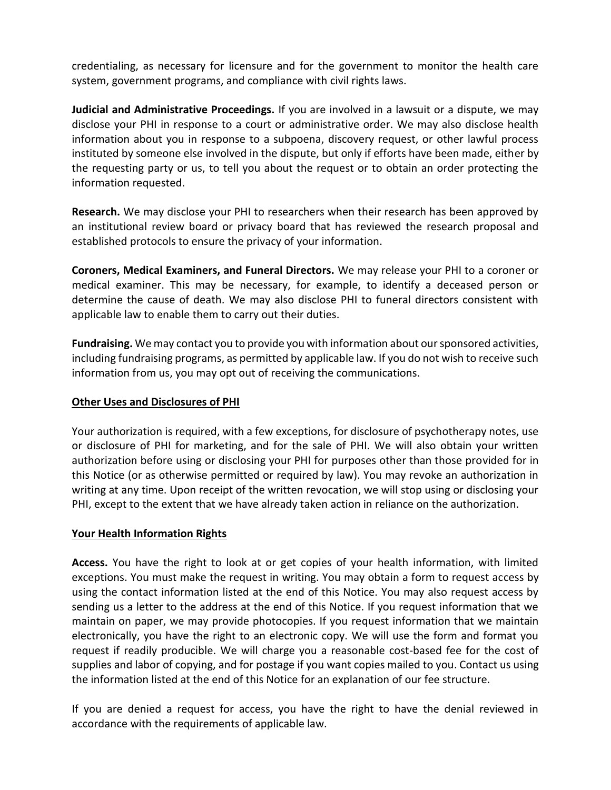credentialing, as necessary for licensure and for the government to monitor the health care system, government programs, and compliance with civil rights laws.

**Judicial and Administrative Proceedings.** If you are involved in a lawsuit or a dispute, we may disclose your PHI in response to a court or administrative order. We may also disclose health information about you in response to a subpoena, discovery request, or other lawful process instituted by someone else involved in the dispute, but only if efforts have been made, either by the requesting party or us, to tell you about the request or to obtain an order protecting the information requested.

**Research.** We may disclose your PHI to researchers when their research has been approved by an institutional review board or privacy board that has reviewed the research proposal and established protocols to ensure the privacy of your information.

**Coroners, Medical Examiners, and Funeral Directors.** We may release your PHI to a coroner or medical examiner. This may be necessary, for example, to identify a deceased person or determine the cause of death. We may also disclose PHI to funeral directors consistent with applicable law to enable them to carry out their duties.

**Fundraising.** We may contact you to provide you with information about our sponsored activities, including fundraising programs, as permitted by applicable law. If you do not wish to receive such information from us, you may opt out of receiving the communications.

#### **Other Uses and Disclosures of PHI**

Your authorization is required, with a few exceptions, for disclosure of psychotherapy notes, use or disclosure of PHI for marketing, and for the sale of PHI. We will also obtain your written authorization before using or disclosing your PHI for purposes other than those provided for in this Notice (or as otherwise permitted or required by law). You may revoke an authorization in writing at any time. Upon receipt of the written revocation, we will stop using or disclosing your PHI, except to the extent that we have already taken action in reliance on the authorization.

#### **Your Health Information Rights**

**Access.** You have the right to look at or get copies of your health information, with limited exceptions. You must make the request in writing. You may obtain a form to request access by using the contact information listed at the end of this Notice. You may also request access by sending us a letter to the address at the end of this Notice. If you request information that we maintain on paper, we may provide photocopies. If you request information that we maintain electronically, you have the right to an electronic copy. We will use the form and format you request if readily producible. We will charge you a reasonable cost-based fee for the cost of supplies and labor of copying, and for postage if you want copies mailed to you. Contact us using the information listed at the end of this Notice for an explanation of our fee structure.

If you are denied a request for access, you have the right to have the denial reviewed in accordance with the requirements of applicable law.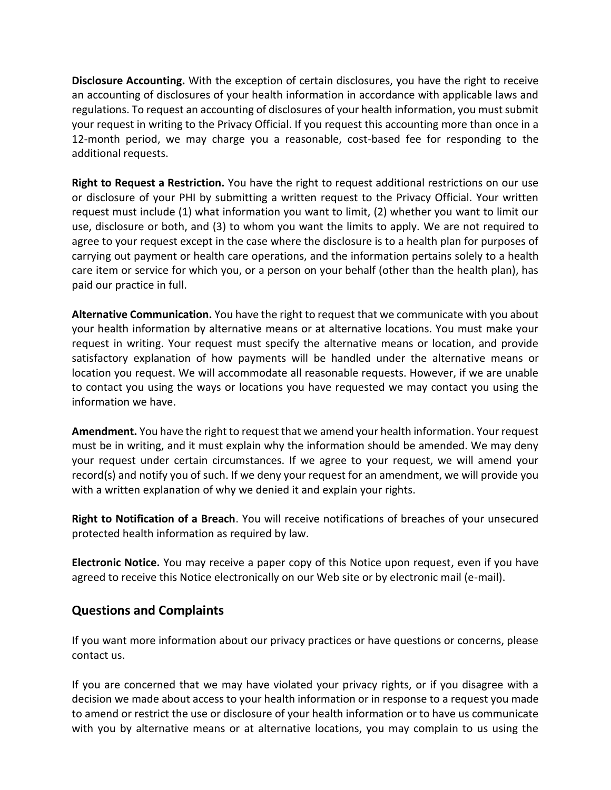**Disclosure Accounting.** With the exception of certain disclosures, you have the right to receive an accounting of disclosures of your health information in accordance with applicable laws and regulations. To request an accounting of disclosures of your health information, you must submit your request in writing to the Privacy Official. If you request this accounting more than once in a 12-month period, we may charge you a reasonable, cost-based fee for responding to the additional requests.

**Right to Request a Restriction.** You have the right to request additional restrictions on our use or disclosure of your PHI by submitting a written request to the Privacy Official. Your written request must include (1) what information you want to limit, (2) whether you want to limit our use, disclosure or both, and (3) to whom you want the limits to apply. We are not required to agree to your request except in the case where the disclosure is to a health plan for purposes of carrying out payment or health care operations, and the information pertains solely to a health care item or service for which you, or a person on your behalf (other than the health plan), has paid our practice in full.

**Alternative Communication.** You have the right to request that we communicate with you about your health information by alternative means or at alternative locations. You must make your request in writing. Your request must specify the alternative means or location, and provide satisfactory explanation of how payments will be handled under the alternative means or location you request. We will accommodate all reasonable requests. However, if we are unable to contact you using the ways or locations you have requested we may contact you using the information we have.

**Amendment.** You have the right to request that we amend your health information. Your request must be in writing, and it must explain why the information should be amended. We may deny your request under certain circumstances. If we agree to your request, we will amend your record(s) and notify you of such. If we deny your request for an amendment, we will provide you with a written explanation of why we denied it and explain your rights.

**Right to Notification of a Breach**. You will receive notifications of breaches of your unsecured protected health information as required by law.

**Electronic Notice.** You may receive a paper copy of this Notice upon request, even if you have agreed to receive this Notice electronically on our Web site or by electronic mail (e-mail).

# **Questions and Complaints**

If you want more information about our privacy practices or have questions or concerns, please contact us.

If you are concerned that we may have violated your privacy rights, or if you disagree with a decision we made about access to your health information or in response to a request you made to amend or restrict the use or disclosure of your health information or to have us communicate with you by alternative means or at alternative locations, you may complain to us using the